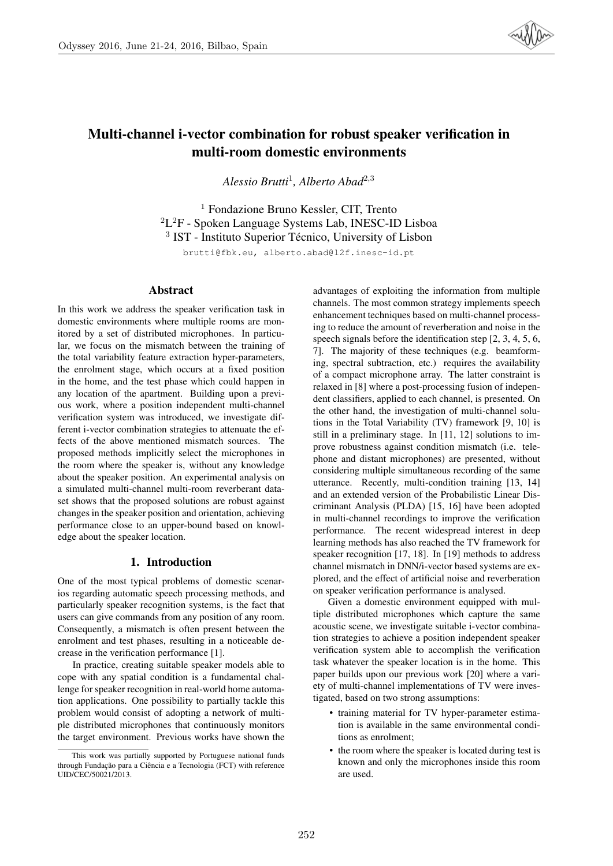

# Multi-channel i-vector combination for robust speaker verification in multi-room domestic environments

*Alessio Brutti*<sup>1</sup> *, Alberto Abad*<sup>2</sup>,<sup>3</sup>

<sup>1</sup> Fondazione Bruno Kessler, CIT, Trento  ${}^{2}L^{2}F$  - Spoken Language Systems Lab, INESC-ID Lisboa <sup>3</sup> IST - Instituto Superior Técnico, University of Lisbon

brutti@fbk.eu, alberto.abad@l2f.inesc-id.pt

# Abstract

In this work we address the speaker verification task in domestic environments where multiple rooms are monitored by a set of distributed microphones. In particular, we focus on the mismatch between the training of the total variability feature extraction hyper-parameters, the enrolment stage, which occurs at a fixed position in the home, and the test phase which could happen in any location of the apartment. Building upon a previous work, where a position independent multi-channel verification system was introduced, we investigate different i-vector combination strategies to attenuate the effects of the above mentioned mismatch sources. The proposed methods implicitly select the microphones in the room where the speaker is, without any knowledge about the speaker position. An experimental analysis on a simulated multi-channel multi-room reverberant dataset shows that the proposed solutions are robust against changes in the speaker position and orientation, achieving performance close to an upper-bound based on knowledge about the speaker location.

# 1. Introduction

One of the most typical problems of domestic scenarios regarding automatic speech processing methods, and particularly speaker recognition systems, is the fact that users can give commands from any position of any room. Consequently, a mismatch is often present between the enrolment and test phases, resulting in a noticeable decrease in the verification performance [1].

In practice, creating suitable speaker models able to cope with any spatial condition is a fundamental challenge for speaker recognition in real-world home automation applications. One possibility to partially tackle this problem would consist of adopting a network of multiple distributed microphones that continuously monitors the target environment. Previous works have shown the

advantages of exploiting the information from multiple channels. The most common strategy implements speech enhancement techniques based on multi-channel processing to reduce the amount of reverberation and noise in the speech signals before the identification step [2, 3, 4, 5, 6, 7]. The majority of these techniques (e.g. beamforming, spectral subtraction, etc.) requires the availability of a compact microphone array. The latter constraint is relaxed in [8] where a post-processing fusion of independent classifiers, applied to each channel, is presented. On the other hand, the investigation of multi-channel solutions in the Total Variability (TV) framework [9, 10] is still in a preliminary stage. In [11, 12] solutions to improve robustness against condition mismatch (i.e. telephone and distant microphones) are presented, without considering multiple simultaneous recording of the same utterance. Recently, multi-condition training [13, 14] and an extended version of the Probabilistic Linear Discriminant Analysis (PLDA) [15, 16] have been adopted in multi-channel recordings to improve the verification performance. The recent widespread interest in deep learning methods has also reached the TV framework for speaker recognition [17, 18]. In [19] methods to address channel mismatch in DNN/i-vector based systems are explored, and the effect of artificial noise and reverberation on speaker verification performance is analysed.

Given a domestic environment equipped with multiple distributed microphones which capture the same acoustic scene, we investigate suitable i-vector combination strategies to achieve a position independent speaker verification system able to accomplish the verification task whatever the speaker location is in the home. This paper builds upon our previous work [20] where a variety of multi-channel implementations of TV were investigated, based on two strong assumptions:

- training material for TV hyper-parameter estimation is available in the same environmental conditions as enrolment;
- the room where the speaker is located during test is known and only the microphones inside this room are used.

This work was partially supported by Portuguese national funds through Fundação para a Ciência e a Tecnologia (FCT) with reference UID/CEC/50021/2013.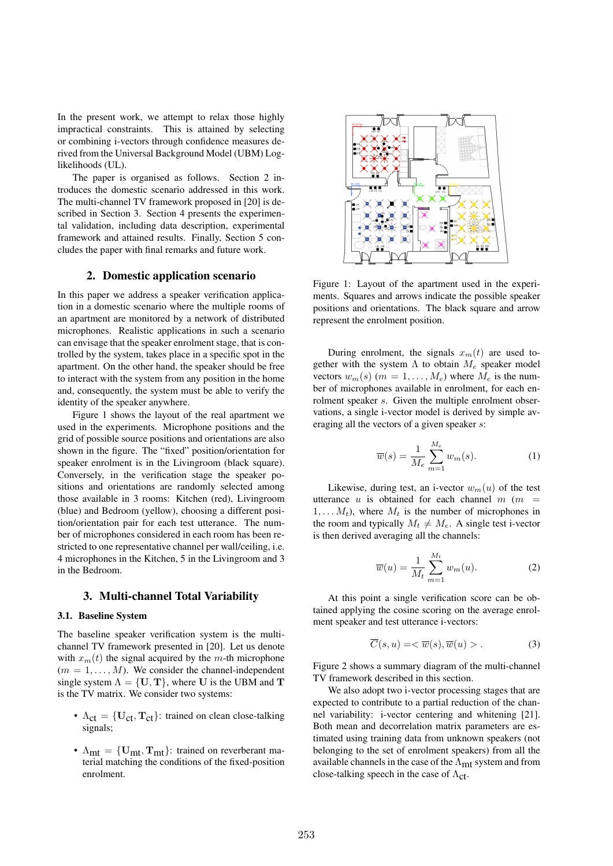In the present work, we attempt to relax those highly impractical constraints. This is attained by selecting or combining i-vectors through confidence measures derived from the Universal Background Model (UBM) Loglikelihoods (UL).

The paper is organised as follows. Section 2 introduces the domestic scenario addressed in this work. The multi-channel TV framework proposed in [20] is described in Section 3. Section 4 presents the experimental validation, including data description, experimental framework and attained results. Finally, Section 5 concludes the paper with final remarks and future work.

## 2. Domestic application scenario

In this paper we address a speaker verification application in a domestic scenario where the multiple rooms of an apartment are monitored by a network of distributed microphones. Realistic applications in such a scenario can envisage that the speaker enrolment stage, that is controlled by the system, takes place in a specific spot in the apartment. On the other hand, the speaker should be free to interact with the system from any position in the home and, consequently, the system must be able to verify the identity of the speaker anywhere.

Figure 1 shows the layout of the real apartment we used in the experiments. Microphone positions and the grid of possible source positions and orientations are also shown in the figure. The "fixed" position/orientation for speaker enrolment is in the Livingroom (black square). Conversely, in the verification stage the speaker positions and orientations are randomly selected among those available in 3 rooms: Kitchen (red), Livingroom (blue) and Bedroom (yellow), choosing a different position/orientation pair for each test utterance. The number of microphones considered in each room has been restricted to one representative channel per wall/ceiling, i.e. 4 microphones in the Kitchen, 5 in the Livingroom and 3 in the Bedroom.

## 3. Multi-channel Total Variability

### 3.1. Baseline System

The baseline speaker verification system is the multichannel TV framework presented in [20]. Let us denote with  $x_m(t)$  the signal acquired by the m-th microphone  $(m = 1, \ldots, M)$ . We consider the channel-independent single system  $\Lambda = \{U, T\}$ , where U is the UBM and T is the TV matrix. We consider two systems:

- $\Lambda_{ct} = \{U_{ct}, T_{ct}\}\$ : trained on clean close-talking signals;
- $\Lambda_{mt} = \{U_{mt}, T_{mt}\}\$ : trained on reverberant material matching the conditions of the fixed-position enrolment.



Figure 1: Layout of the apartment used in the experiments. Squares and arrows indicate the possible speaker positions and orientations. The black square and arrow represent the enrolment position.

During enrolment, the signals  $x_m(t)$  are used together with the system  $\Lambda$  to obtain  $M_e$  speaker model vectors  $w_m(s)$  ( $m = 1, ..., M_e$ ) where  $M_e$  is the number of microphones available in enrolment, for each enrolment speaker s. Given the multiple enrolment observations, a single i-vector model is derived by simple averaging all the vectors of a given speaker s:

$$
\overline{w}(s) = \frac{1}{M_e} \sum_{m=1}^{M_e} w_m(s).
$$
 (1)

Likewise, during test, an i-vector  $w_m(u)$  of the test utterance u is obtained for each channel  $m$  ( $m =$  $1, \ldots, M_t$ , where  $M_t$  is the number of microphones in the room and typically  $M_t \neq M_e$ . A single test i-vector is then derived averaging all the channels:

$$
\overline{w}(u) = \frac{1}{M_t} \sum_{m=1}^{M_t} w_m(u). \tag{2}
$$

At this point a single verification score can be obtained applying the cosine scoring on the average enrolment speaker and test utterance i-vectors:

$$
\overline{C}(s, u) = \langle \overline{w}(s), \overline{w}(u) \rangle. \tag{3}
$$

Figure 2 shows a summary diagram of the multi-channel TV framework described in this section.

We also adopt two i-vector processing stages that are expected to contribute to a partial reduction of the channel variability: i-vector centering and whitening [21]. Both mean and decorrelation matrix parameters are estimated using training data from unknown speakers (not belonging to the set of enrolment speakers) from all the available channels in the case of the  $\Lambda_{\rm mt}$  system and from close-talking speech in the case of  $\Lambda_{\rm ct}$ .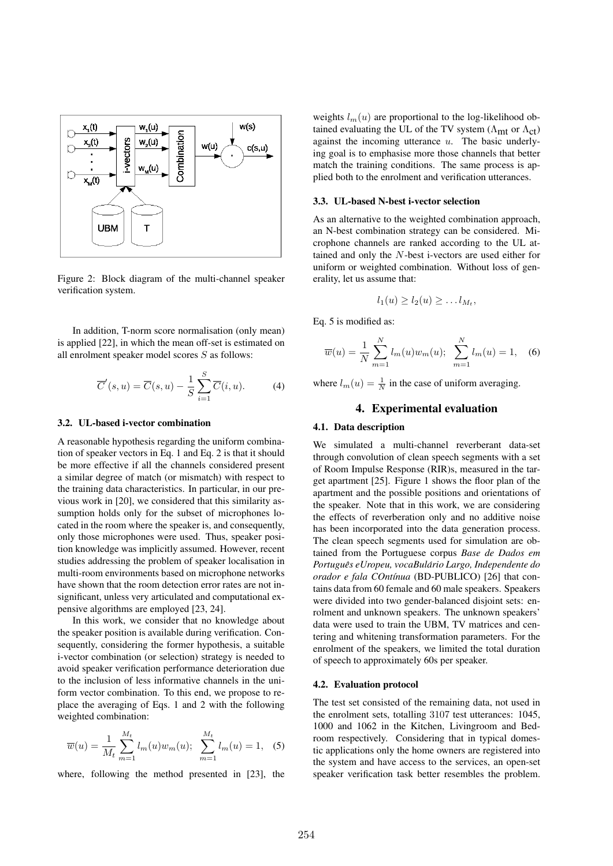

Figure 2: Block diagram of the multi-channel speaker verification system.

In addition, T-norm score normalisation (only mean) is applied [22], in which the mean off-set is estimated on all enrolment speaker model scores S as follows:

$$
\overline{C}'(s,u) = \overline{C}(s,u) - \frac{1}{S} \sum_{i=1}^{S} \overline{C}(i,u). \tag{4}
$$

### 3.2. UL-based i-vector combination

A reasonable hypothesis regarding the uniform combination of speaker vectors in Eq. 1 and Eq. 2 is that it should be more effective if all the channels considered present a similar degree of match (or mismatch) with respect to the training data characteristics. In particular, in our previous work in [20], we considered that this similarity assumption holds only for the subset of microphones located in the room where the speaker is, and consequently, only those microphones were used. Thus, speaker position knowledge was implicitly assumed. However, recent studies addressing the problem of speaker localisation in multi-room environments based on microphone networks have shown that the room detection error rates are not insignificant, unless very articulated and computational expensive algorithms are employed [23, 24].

In this work, we consider that no knowledge about the speaker position is available during verification. Consequently, considering the former hypothesis, a suitable i-vector combination (or selection) strategy is needed to avoid speaker verification performance deterioration due to the inclusion of less informative channels in the uniform vector combination. To this end, we propose to replace the averaging of Eqs. 1 and 2 with the following weighted combination:

$$
\overline{w}(u) = \frac{1}{M_t} \sum_{m=1}^{M_t} l_m(u) w_m(u); \sum_{m=1}^{M_t} l_m(u) = 1, \quad (5)
$$

where, following the method presented in [23], the

weights  $l_m(u)$  are proportional to the log-likelihood obtained evaluating the UL of the TV system ( $\Lambda_{\rm mt}$  or  $\Lambda_{\rm ct}$ ) against the incoming utterance  $u$ . The basic underlying goal is to emphasise more those channels that better match the training conditions. The same process is applied both to the enrolment and verification utterances.

#### 3.3. UL-based N-best i-vector selection

As an alternative to the weighted combination approach, an N-best combination strategy can be considered. Microphone channels are ranked according to the UL attained and only the N-best i-vectors are used either for uniform or weighted combination. Without loss of generality, let us assume that:

$$
l_1(u) \geq l_2(u) \geq \ldots l_{M_t},
$$

Eq. 5 is modified as:

$$
\overline{w}(u) = \frac{1}{N} \sum_{m=1}^{N} l_m(u) w_m(u); \sum_{m=1}^{N} l_m(u) = 1, \quad (6)
$$

where  $l_m(u) = \frac{1}{N}$  in the case of uniform averaging.

## 4. Experimental evaluation

#### 4.1. Data description

We simulated a multi-channel reverberant data-set through convolution of clean speech segments with a set of Room Impulse Response (RIR)s, measured in the target apartment [25]. Figure 1 shows the floor plan of the apartment and the possible positions and orientations of the speaker. Note that in this work, we are considering the effects of reverberation only and no additive noise has been incorporated into the data generation process. The clean speech segments used for simulation are obtained from the Portuguese corpus *Base de Dados em Portugues eUropeu, vocaBul ˆ ario Largo, Independente do ´ orador e fala COntínua* (BD-PUBLICO) [26] that contains data from 60 female and 60 male speakers. Speakers were divided into two gender-balanced disjoint sets: enrolment and unknown speakers. The unknown speakers' data were used to train the UBM, TV matrices and centering and whitening transformation parameters. For the enrolment of the speakers, we limited the total duration of speech to approximately 60s per speaker.

#### 4.2. Evaluation protocol

The test set consisted of the remaining data, not used in the enrolment sets, totalling 3107 test utterances: 1045, 1000 and 1062 in the Kitchen, Livingroom and Bedroom respectively. Considering that in typical domestic applications only the home owners are registered into the system and have access to the services, an open-set speaker verification task better resembles the problem.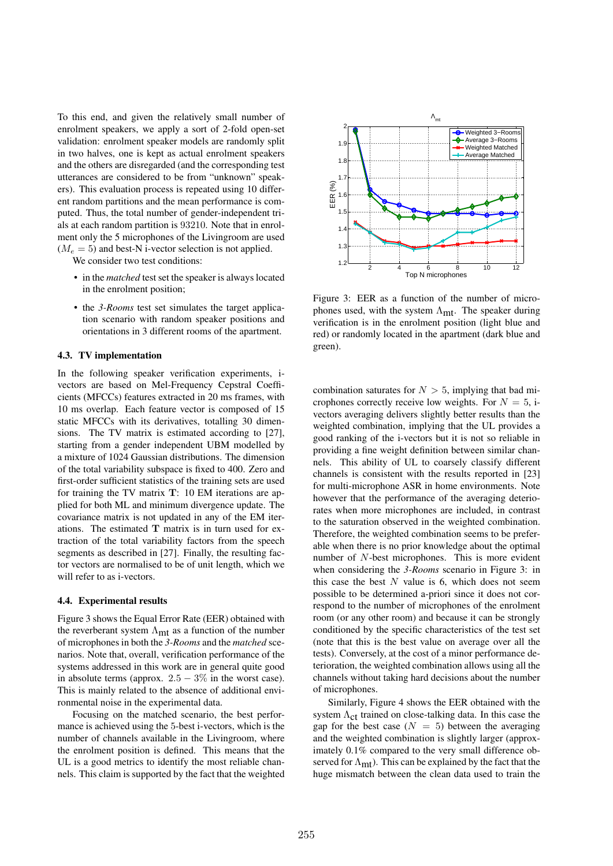To this end, and given the relatively small number of enrolment speakers, we apply a sort of 2-fold open-set validation: enrolment speaker models are randomly split in two halves, one is kept as actual enrolment speakers and the others are disregarded (and the corresponding test utterances are considered to be from "unknown" speakers). This evaluation process is repeated using 10 different random partitions and the mean performance is computed. Thus, the total number of gender-independent trials at each random partition is 93210. Note that in enrolment only the 5 microphones of the Livingroom are used  $(M_e = 5)$  and best-N i-vector selection is not applied.

We consider two test conditions:

- in the *matched* test set the speaker is always located in the enrolment position;
- the *3-Rooms* test set simulates the target application scenario with random speaker positions and orientations in 3 different rooms of the apartment.

## 4.3. TV implementation

In the following speaker verification experiments, ivectors are based on Mel-Frequency Cepstral Coefficients (MFCCs) features extracted in 20 ms frames, with 10 ms overlap. Each feature vector is composed of 15 static MFCCs with its derivatives, totalling 30 dimensions. The TV matrix is estimated according to [27], starting from a gender independent UBM modelled by a mixture of 1024 Gaussian distributions. The dimension of the total variability subspace is fixed to 400. Zero and first-order sufficient statistics of the training sets are used for training the TV matrix T: 10 EM iterations are applied for both ML and minimum divergence update. The covariance matrix is not updated in any of the EM iterations. The estimated  $T$  matrix is in turn used for extraction of the total variability factors from the speech segments as described in [27]. Finally, the resulting factor vectors are normalised to be of unit length, which we will refer to as i-vectors.

#### 4.4. Experimental results

Figure 3 shows the Equal Error Rate (EER) obtained with the reverberant system  $\Lambda_{\rm mt}$  as a function of the number of microphones in both the *3-Rooms* and the *matched* scenarios. Note that, overall, verification performance of the systems addressed in this work are in general quite good in absolute terms (approx.  $2.5 - 3\%$  in the worst case). This is mainly related to the absence of additional environmental noise in the experimental data.

Focusing on the matched scenario, the best performance is achieved using the 5-best i-vectors, which is the number of channels available in the Livingroom, where the enrolment position is defined. This means that the UL is a good metrics to identify the most reliable channels. This claim is supported by the fact that the weighted



Figure 3: EER as a function of the number of microphones used, with the system  $\Lambda_{\rm mt}$ . The speaker during verification is in the enrolment position (light blue and red) or randomly located in the apartment (dark blue and green).

combination saturates for  $N > 5$ , implying that bad microphones correctly receive low weights. For  $N = 5$ , ivectors averaging delivers slightly better results than the weighted combination, implying that the UL provides a good ranking of the i-vectors but it is not so reliable in providing a fine weight definition between similar channels. This ability of UL to coarsely classify different channels is consistent with the results reported in [23] for multi-microphone ASR in home environments. Note however that the performance of the averaging deteriorates when more microphones are included, in contrast to the saturation observed in the weighted combination. Therefore, the weighted combination seems to be preferable when there is no prior knowledge about the optimal number of N-best microphones. This is more evident when considering the *3-Rooms* scenario in Figure 3: in this case the best  $N$  value is 6, which does not seem possible to be determined a-priori since it does not correspond to the number of microphones of the enrolment room (or any other room) and because it can be strongly conditioned by the specific characteristics of the test set (note that this is the best value on average over all the tests). Conversely, at the cost of a minor performance deterioration, the weighted combination allows using all the channels without taking hard decisions about the number of microphones.

Similarly, Figure 4 shows the EER obtained with the system  $\Lambda_{\rm ct}$  trained on close-talking data. In this case the gap for the best case  $(N = 5)$  between the averaging and the weighted combination is slightly larger (approximately 0.1% compared to the very small difference observed for  $\Lambda_{\rm mt}$ ). This can be explained by the fact that the huge mismatch between the clean data used to train the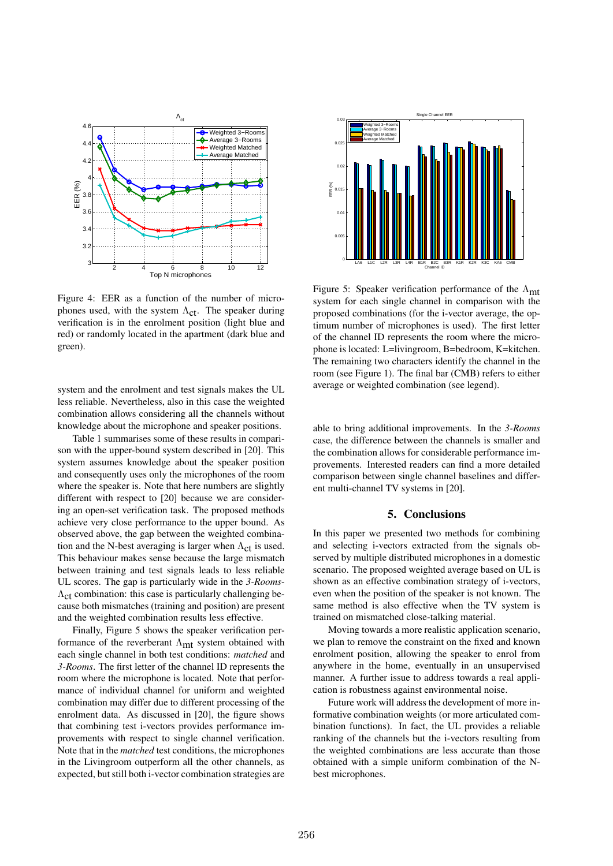

Figure 4: EER as a function of the number of microphones used, with the system  $\Lambda_{\text{cf}}$ . The speaker during verification is in the enrolment position (light blue and red) or randomly located in the apartment (dark blue and green).

system and the enrolment and test signals makes the UL less reliable. Nevertheless, also in this case the weighted combination allows considering all the channels without knowledge about the microphone and speaker positions.

Table 1 summarises some of these results in comparison with the upper-bound system described in [20]. This system assumes knowledge about the speaker position and consequently uses only the microphones of the room where the speaker is. Note that here numbers are slightly different with respect to [20] because we are considering an open-set verification task. The proposed methods achieve very close performance to the upper bound. As observed above, the gap between the weighted combination and the N-best averaging is larger when  $\Lambda_{\rm ct}$  is used. This behaviour makes sense because the large mismatch between training and test signals leads to less reliable UL scores. The gap is particularly wide in the *3-Rooms*- $\Lambda_{\rm ct}$  combination: this case is particularly challenging because both mismatches (training and position) are present and the weighted combination results less effective.

Finally, Figure 5 shows the speaker verification performance of the reverberant  $\Lambda_{\rm mt}$  system obtained with each single channel in both test conditions: *matched* and *3-Rooms*. The first letter of the channel ID represents the room where the microphone is located. Note that performance of individual channel for uniform and weighted combination may differ due to different processing of the enrolment data. As discussed in [20], the figure shows that combining test i-vectors provides performance improvements with respect to single channel verification. Note that in the *matched* test conditions, the microphones in the Livingroom outperform all the other channels, as expected, but still both i-vector combination strategies are



Figure 5: Speaker verification performance of the  $\Lambda_{\rm mt}$ system for each single channel in comparison with the proposed combinations (for the i-vector average, the optimum number of microphones is used). The first letter of the channel ID represents the room where the microphone is located: L=livingroom, B=bedroom, K=kitchen. The remaining two characters identify the channel in the room (see Figure 1). The final bar (CMB) refers to either average or weighted combination (see legend).

able to bring additional improvements. In the *3-Rooms* case, the difference between the channels is smaller and the combination allows for considerable performance improvements. Interested readers can find a more detailed comparison between single channel baselines and different multi-channel TV systems in [20].

# 5. Conclusions

In this paper we presented two methods for combining and selecting i-vectors extracted from the signals observed by multiple distributed microphones in a domestic scenario. The proposed weighted average based on UL is shown as an effective combination strategy of i-vectors, even when the position of the speaker is not known. The same method is also effective when the TV system is trained on mismatched close-talking material.

Moving towards a more realistic application scenario, we plan to remove the constraint on the fixed and known enrolment position, allowing the speaker to enrol from anywhere in the home, eventually in an unsupervised manner. A further issue to address towards a real application is robustness against environmental noise.

Future work will address the development of more informative combination weights (or more articulated combination functions). In fact, the UL provides a reliable ranking of the channels but the i-vectors resulting from the weighted combinations are less accurate than those obtained with a simple uniform combination of the Nbest microphones.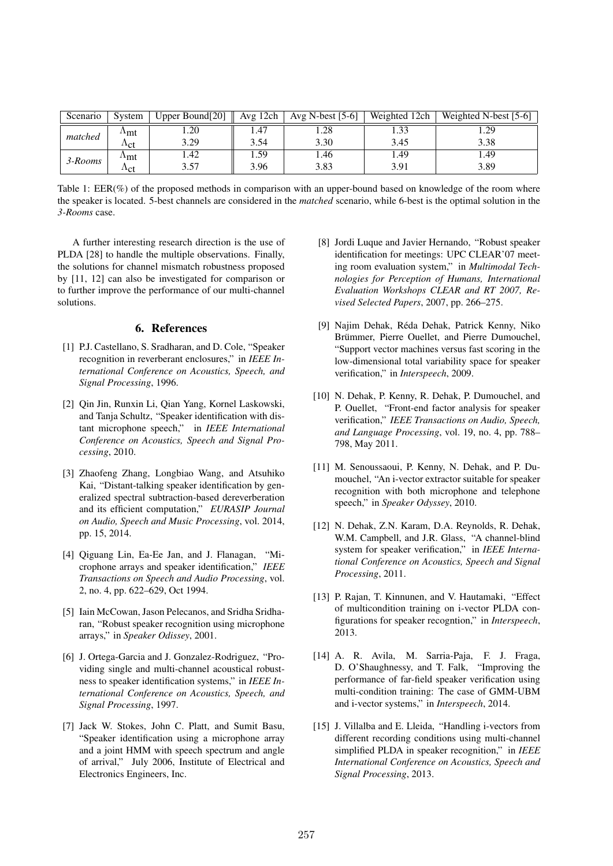| Scenario | System       | Upper Bound[20] | Avg 12ch | Avg N-best $[5-6]$ | Weighted 12ch | Weighted N-best [5-6] |
|----------|--------------|-----------------|----------|--------------------|---------------|-----------------------|
| matched  | ⊥mt          | 1.20            | 4.47     | .28                | 1.33          | 1.29                  |
|          | $\Lambda ct$ | 3.29            | 3.54     | 3.30               | 3.45          | 3.38                  |
| 3-Rooms  | ⊥mt          | 1.42            | 1.59     | 1.46               | 1.49          | 1.49                  |
|          | $\Lambda ct$ | 3.57            | 3.96     | 3.83               | 3.91          | 3.89                  |

Table 1: EER(%) of the proposed methods in comparison with an upper-bound based on knowledge of the room where the speaker is located. 5-best channels are considered in the *matched* scenario, while 6-best is the optimal solution in the *3-Rooms* case.

A further interesting research direction is the use of PLDA [28] to handle the multiple observations. Finally, the solutions for channel mismatch robustness proposed by [11, 12] can also be investigated for comparison or to further improve the performance of our multi-channel solutions.

## 6. References

- [1] P.J. Castellano, S. Sradharan, and D. Cole, "Speaker recognition in reverberant enclosures," in *IEEE International Conference on Acoustics, Speech, and Signal Processing*, 1996.
- [2] Oin Jin, Runxin Li, Oian Yang, Kornel Laskowski, and Tanja Schultz, "Speaker identification with distant microphone speech," in *IEEE International Conference on Acoustics, Speech and Signal Processing*, 2010.
- [3] Zhaofeng Zhang, Longbiao Wang, and Atsuhiko Kai, "Distant-talking speaker identification by generalized spectral subtraction-based dereverberation and its efficient computation," *EURASIP Journal on Audio, Speech and Music Processing*, vol. 2014, pp. 15, 2014.
- [4] Qiguang Lin, Ea-Ee Jan, and J. Flanagan, "Microphone arrays and speaker identification," *IEEE Transactions on Speech and Audio Processing*, vol. 2, no. 4, pp. 622–629, Oct 1994.
- [5] Iain McCowan, Jason Pelecanos, and Sridharan, "Robust speaker recognition using microphone arrays," in *Speaker Odissey*, 2001.
- [6] J. Ortega-Garcia and J. Gonzalez-Rodriguez, "Providing single and multi-channel acoustical robustness to speaker identification systems," in *IEEE International Conference on Acoustics, Speech, and Signal Processing*, 1997.
- [7] Jack W. Stokes, John C. Platt, and Sumit Basu, "Speaker identification using a microphone array and a joint HMM with speech spectrum and angle of arrival," July 2006, Institute of Electrical and Electronics Engineers, Inc.
- [8] Jordi Luque and Javier Hernando, "Robust speaker identification for meetings: UPC CLEAR'07 meeting room evaluation system," in *Multimodal Technologies for Perception of Humans, International Evaluation Workshops CLEAR and RT 2007, Revised Selected Papers*, 2007, pp. 266–275.
- [9] Najim Dehak, Réda Dehak, Patrick Kenny, Niko Brümmer, Pierre Ouellet, and Pierre Dumouchel, "Support vector machines versus fast scoring in the low-dimensional total variability space for speaker verification," in *Interspeech*, 2009.
- [10] N. Dehak, P. Kenny, R. Dehak, P. Dumouchel, and P. Ouellet, "Front-end factor analysis for speaker verification," *IEEE Transactions on Audio, Speech, and Language Processing*, vol. 19, no. 4, pp. 788– 798, May 2011.
- [11] M. Senoussaoui, P. Kenny, N. Dehak, and P. Dumouchel, "An i-vector extractor suitable for speaker recognition with both microphone and telephone speech," in *Speaker Odyssey*, 2010.
- [12] N. Dehak, Z.N. Karam, D.A. Reynolds, R. Dehak, W.M. Campbell, and J.R. Glass, "A channel-blind system for speaker verification," in *IEEE International Conference on Acoustics, Speech and Signal Processing*, 2011.
- [13] P. Rajan, T. Kinnunen, and V. Hautamaki, "Effect of multicondition training on i-vector PLDA configurations for speaker recogntion," in *Interspeech*, 2013.
- [14] A. R. Avila, M. Sarria-Paja, F. J. Fraga, D. O'Shaughnessy, and T. Falk, "Improving the performance of far-field speaker verification using multi-condition training: The case of GMM-UBM and i-vector systems," in *Interspeech*, 2014.
- [15] J. Villalba and E. Lleida, "Handling i-vectors from different recording conditions using multi-channel simplified PLDA in speaker recognition," in *IEEE International Conference on Acoustics, Speech and Signal Processing*, 2013.